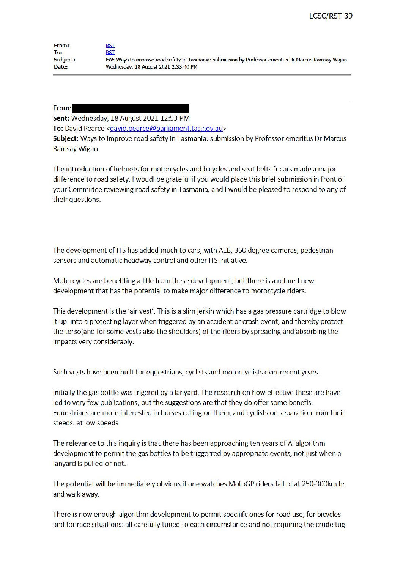| From:    | RST                                                                                                  |
|----------|------------------------------------------------------------------------------------------------------|
| To:      | rst                                                                                                  |
| Subject: | FW: Ways to improve road safety in Tasmania: submission by Professor emeritus Dr Marcus Ramsay Wigan |
| Date:    | Wednesday, 18 August 2021 2:33:40 PM                                                                 |

## **From:**

Sent: Wednesday, 18 August 2021 12:53 PM

To: David Pearce <david.pearce@parliament.tas.gov.au>

**Subject:** Ways to improve road safety in Tasmania: submission by Professor emeritus Dr Marcus Ramsay Wigan

The introduction of helmets for motorcycles and bicycles and seat belts fr cars made a major difference to road safety. I woudl be grateful if you would place this brief submission in front of your Commiitee reviewing road safety in Tasmania, and I would be pleased to respond to any of their questions.

The development of ITS has added much to cars, with AEB, 360 degree cameras, pedestrian sensors and automatic headway control and other ITS initiative.

Motorcycles are benefiting a litle from these development, but there is a refined new development that has the potential to make major difference to motorcycle riders.

This development is the 'air vest'. This is a slim jerkin which has a gas pressure cartridge to blow it up into a protecting layer when triggered by an accident or crash event, and thereby protect the torso(and for some vests also the shoulders) of the riders by spreading and absorbing the impacts very considerably.

Such vests have been built for equestrians, cyclists and motorcyclists over recent years.

initially the gas bottle was trigered by a lanyard. The research on how effective these are have led to very few publications, but the suggestions are that they do offer some benefis. Equestrians are more interested in horses rolling on them, and cyclists on separation from their steeds. at low speeds

The relevance to this inquiry is that there has been approaching ten years of Al algorithm development to permit the gas bottles to be triggerred by appropriate events, not just when a lanyard is pulled-or not.

The potential will be immediately obvious if one watches MotoGP riders fall of at 250-300km.h: and walk away.

There is now enough algorithm development to permit speciiifc ones for road use, for bicycles and for race situations: all carefully tuned to each circumstance and not requiring the crude tug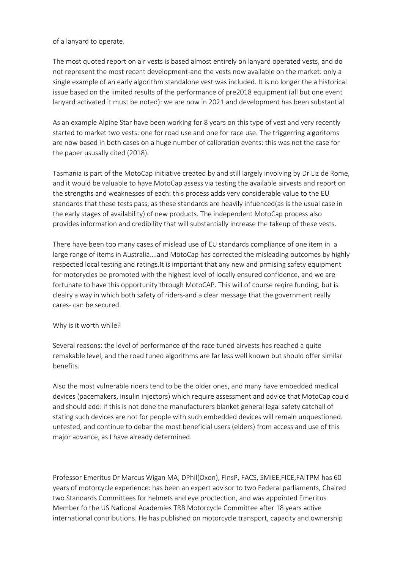## of a lanyard to operate.

The most quoted report on air vests is based almost entirely on lanyard operated vests, and do not represent the most recent development-and the vests now available on the market: only a single example of an early algorithm standalone vest was included. It is no longer the a historical issue based on the limited results of the performance of pre2018 equipment (all but one event lanyard activated it must be noted): we are now in 2021 and development has been substantial

As an example Alpine Star have been working for 8 years on this type of vest and very recently started to market two vests: one for road use and one for race use. The triggerring algoritoms are now based in both cases on a huge number of calibration events: this was not the case for the paper ususally cited (2018).

Tasmania is part of the MotoCap initiative created by and still largely involving by Dr Liz de Rome, and it would be valuable to have MotoCap assess via testing the available airvests and report on the strengths and weaknesses of each: this process adds very considerable value to the EU standards that these tests pass, as these standards are heavily infuenced(as is the usual case in the early stages of availability) of new products. The independent MotoCap process also provides information and credibility that will substantially increase the takeup of these vests.

There have been too many cases of mislead use of EU standards compliance of one item in a large range of items in Australia….and MotoCap has corrected the misleading outcomes by highly respected local testing and [ratings.It](https://ratings.It) is important that any new and prmising safety equipment for motorycles be promoted with the highest level of locally ensured confidence, and we are fortunate to have this opportunity through MotoCAP. This will of course reqire funding, but is clealry a way in which both safety of riders-and a clear message that the government really cares- can be secured.

## Why is it worth while?

Several reasons: the level of performance of the race tuned airvests has reached a quite remakable level, and the road tuned algorithms are far less well known but should offer similar benefits.

Also the most vulnerable riders tend to be the older ones, and many have embedded medical devices (pacemakers, insulin injectors) which require assessment and advice that MotoCap could and should add: if this is not done the manufacturers blanket general legal safety catchall of stating such devices are not for people with such embedded devices will remain unquestioned. untested, and continue to debar the most beneficial users (elders) from access and use of this major advance, as I have already determined.

Professor Emeritus Dr Marcus Wigan MA, DPhil(Oxon), FInsP, FACS, SMIEE,FICE,FAITPM has 60 years of motorcycle experience: has been an expert advisor to two Federal parliaments, Chaired two Standards Committees for helmets and eye proctection, and was appointed Emeritus Member fo the US National Academies TRB Motorcycle Committee after 18 years active international contributions. He has published on motorcycle transport, capacity and ownership